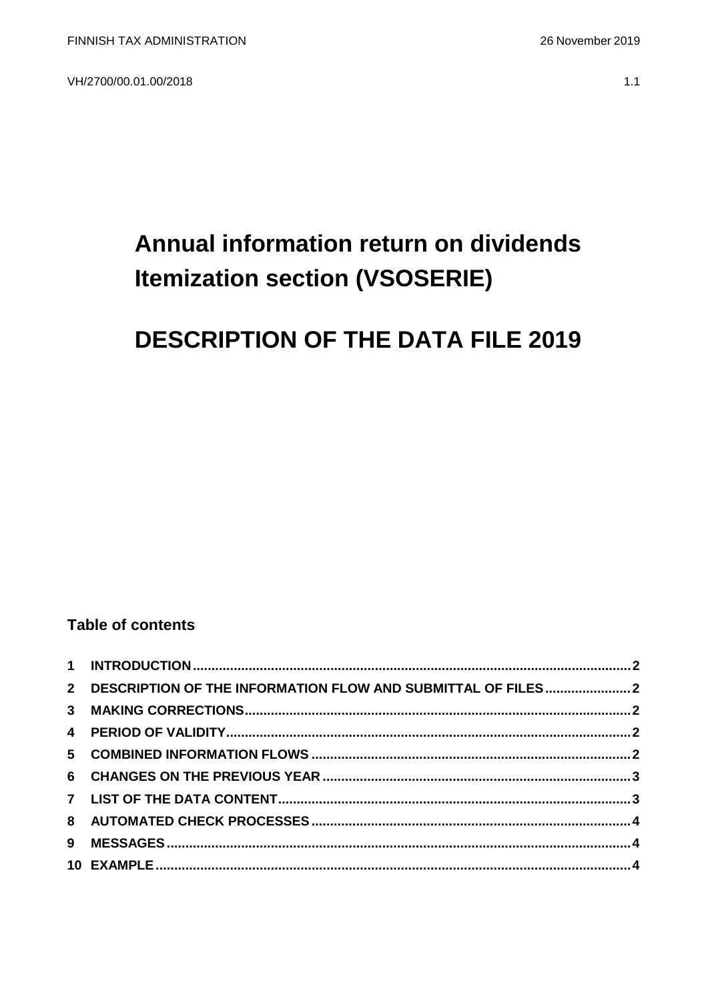VH/2700/00.01.00/2018

# Annual information return on dividends **Itemization section (VSOSERIE)**

## **DESCRIPTION OF THE DATA FILE 2019**

#### **Table of contents**

| 2 DESCRIPTION OF THE INFORMATION FLOW AND SUBMITTAL OF FILES2 |  |
|---------------------------------------------------------------|--|
|                                                               |  |
|                                                               |  |
|                                                               |  |
|                                                               |  |
|                                                               |  |
|                                                               |  |
|                                                               |  |
|                                                               |  |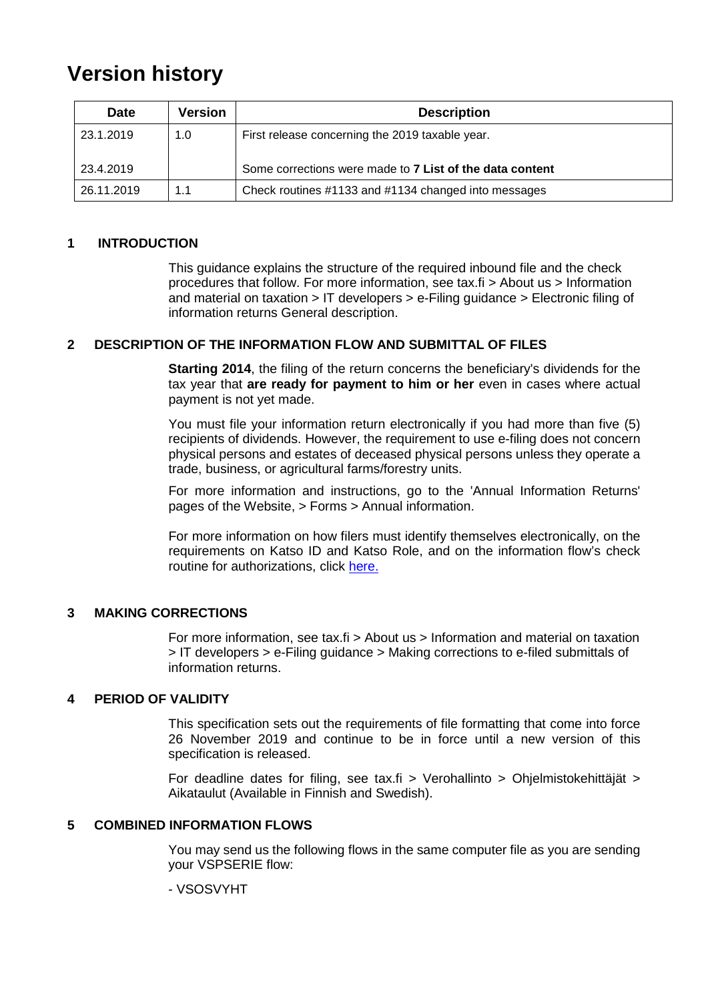### **Version history**

| <b>Date</b> | <b>Version</b> | <b>Description</b>                                       |
|-------------|----------------|----------------------------------------------------------|
| 23.1.2019   | 1.0            | First release concerning the 2019 taxable year.          |
| 23.4.2019   |                | Some corrections were made to 7 List of the data content |
| 26.11.2019  | 1.1            | Check routines #1133 and #1134 changed into messages     |

#### <span id="page-1-0"></span>**1 INTRODUCTION**

This guidance explains the structure of the required inbound file and the check procedures that follow. For more information, see tax.fi > About us > Information and material on taxation  $>$  IT developers  $>$  e-Filing guidance  $>$  Electronic filing of information returns General description.

#### <span id="page-1-1"></span>**2 DESCRIPTION OF THE INFORMATION FLOW AND SUBMITTAL OF FILES**

**Starting 2014**, the filing of the return concerns the beneficiary's dividends for the tax year that **are ready for payment to him or her** even in cases where actual payment is not yet made.

You must file your information return electronically if you had more than five (5) recipients of dividends. However, the requirement to use e-filing does not concern physical persons and estates of deceased physical persons unless they operate a trade, business, or agricultural farms/forestry units.

For more information and instructions, go to the 'Annual Information Returns' pages of the Website, > Forms > Annual information.

For more information on how filers must identify themselves electronically, on the requirements on Katso ID and Katso Role, and on the information flow's check routine for authorizations, click [here.](https://www.ilmoitin.fi/webtamo/sivut/IlmoituslajiRoolit?kieli=en&tv=VSOSERIE)

#### <span id="page-1-2"></span>**3 MAKING CORRECTIONS**

For more information, see tax.fi > About us > Information and material on taxation > IT developers > e-Filing guidance > Making corrections to e-filed submittals of information returns.

#### <span id="page-1-3"></span>**4 PERIOD OF VALIDITY**

This specification sets out the requirements of file formatting that come into force 26 November 2019 and continue to be in force until a new version of this specification is released.

For deadline dates for filing, see tax.fi > Verohallinto > Ohjelmistokehittäjät > Aikataulut (Available in Finnish and Swedish).

#### <span id="page-1-4"></span>**5 COMBINED INFORMATION FLOWS**

You may send us the following flows in the same computer file as you are sending your VSPSERIE flow:

#### - VSOSVYHT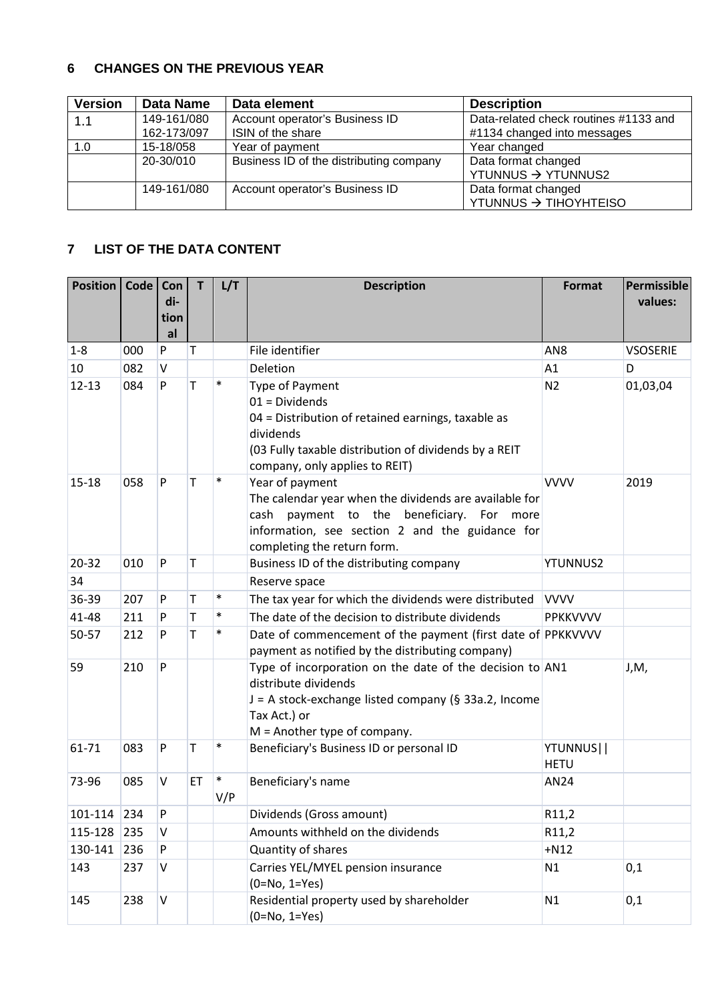#### <span id="page-2-0"></span>**6 CHANGES ON THE PREVIOUS YEAR**

| <b>Version</b> | <b>Data Name</b>           | Data element                                        | <b>Description</b>                                                   |
|----------------|----------------------------|-----------------------------------------------------|----------------------------------------------------------------------|
| 1.1            | 149-161/080<br>162-173/097 | Account operator's Business ID<br>ISIN of the share | Data-related check routines #1133 and<br>#1134 changed into messages |
| 1.0            | 15-18/058                  | Year of payment                                     | Year changed                                                         |
|                | 20-30/010                  | Business ID of the distributing company             | Data format changed<br>YTUNNUS → YTUNNUS2                            |
|                | 149-161/080                | Account operator's Business ID                      | Data format changed<br>YTUNNUS → TIHOYHTEISO                         |

#### <span id="page-2-1"></span>**7 LIST OF THE DATA CONTENT**

| <b>Position</b> | <b>Code</b> | Con<br>di-<br>tion<br>al | T. | L/T           | <b>Description</b>                                                                                                                                                                                       | Format                   | Permissible<br>values: |
|-----------------|-------------|--------------------------|----|---------------|----------------------------------------------------------------------------------------------------------------------------------------------------------------------------------------------------------|--------------------------|------------------------|
| $1 - 8$         | 000         | P                        | т  |               | File identifier                                                                                                                                                                                          | AN <sub>8</sub>          | <b>VSOSERIE</b>        |
| 10              | 082         | $\vee$                   |    |               | Deletion                                                                                                                                                                                                 | A1                       | D                      |
| $12 - 13$       | 084         | P                        | T  | $\ast$        | <b>Type of Payment</b><br>$01 = Dividends$<br>04 = Distribution of retained earnings, taxable as<br>dividends<br>(03 Fully taxable distribution of dividends by a REIT<br>company, only applies to REIT) | N <sub>2</sub>           | 01,03,04               |
| $15 - 18$       | 058         | P                        | Т  | $\ast$        | Year of payment<br>The calendar year when the dividends are available for<br>cash payment to the beneficiary. For more<br>information, see section 2 and the guidance for<br>completing the return form. | <b>VVVV</b>              | 2019                   |
| $20 - 32$       | 010         | P                        | Τ  |               | Business ID of the distributing company                                                                                                                                                                  | <b>YTUNNUS2</b>          |                        |
| 34              |             |                          |    |               | Reserve space                                                                                                                                                                                            |                          |                        |
| 36-39           | 207         | P                        | T  | $\ast$        | The tax year for which the dividends were distributed                                                                                                                                                    | <b>VVVV</b>              |                        |
| 41-48           | 211         | P                        | Т  | $\ast$        | The date of the decision to distribute dividends                                                                                                                                                         | <b>PPKKVVVV</b>          |                        |
| 50-57           | 212         | P                        | Т  | $\ast$        | Date of commencement of the payment (first date of PPKKVVVV<br>payment as notified by the distributing company)                                                                                          |                          |                        |
| 59              | 210         | P                        |    |               | Type of incorporation on the date of the decision to AN1<br>distribute dividends<br>J = A stock-exchange listed company (§ 33a.2, Income<br>Tax Act.) or<br>$M =$ Another type of company.               |                          | J, M,                  |
| 61-71           | 083         | P                        | Т  | $\ast$        | Beneficiary's Business ID or personal ID                                                                                                                                                                 | YTUNNUS  <br><b>HETU</b> |                        |
| 73-96           | 085         | $\vee$                   | ET | $\ast$<br>V/P | Beneficiary's name                                                                                                                                                                                       | AN24                     |                        |
| 101-114         | 234         | P                        |    |               | Dividends (Gross amount)                                                                                                                                                                                 | R11,2                    |                        |
| 115-128         | 235         | V                        |    |               | Amounts withheld on the dividends                                                                                                                                                                        | R11,2                    |                        |
| 130-141         | 236         | P                        |    |               | Quantity of shares                                                                                                                                                                                       | $+N12$                   |                        |
| 143             | 237         | $\sf V$                  |    |               | Carries YEL/MYEL pension insurance<br>$(0=No, 1=Yes)$                                                                                                                                                    | N1                       | 0,1                    |
| 145             | 238         | $\sf V$                  |    |               | Residential property used by shareholder<br>$(0=No, 1=Yes)$                                                                                                                                              | N1                       | 0,1                    |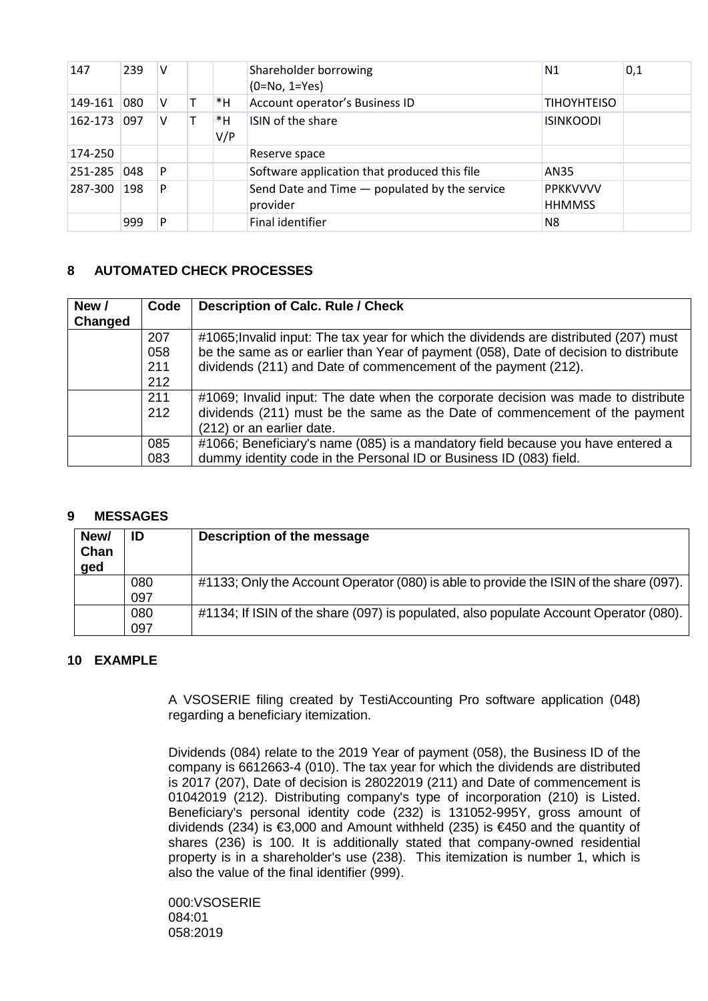| 147     | 239 | V |           | Shareholder borrowing<br>$(0=No, 1=Yes)$                  | N1                               | 0,1 |
|---------|-----|---|-----------|-----------------------------------------------------------|----------------------------------|-----|
| 149-161 | 080 | V | *H        | Account operator's Business ID                            | <b>TIHOYHTEISO</b>               |     |
| 162-173 | 097 | v | *H<br>V/P | ISIN of the share                                         | <b>ISINKOODI</b>                 |     |
| 174-250 |     |   |           | Reserve space                                             |                                  |     |
| 251-285 | 048 | P |           | Software application that produced this file              | AN35                             |     |
| 287-300 | 198 | P |           | Send Date and Time - populated by the service<br>provider | <b>PPKKVVVV</b><br><b>HHMMSS</b> |     |
|         | 999 | P |           | Final identifier                                          | N8                               |     |

#### <span id="page-3-0"></span>**8 AUTOMATED CHECK PROCESSES**

| New /   | Code | <b>Description of Calc. Rule / Check</b>                                              |
|---------|------|---------------------------------------------------------------------------------------|
| Changed |      |                                                                                       |
|         | 207  | #1065; Invalid input: The tax year for which the dividends are distributed (207) must |
|         | 058  | be the same as or earlier than Year of payment (058), Date of decision to distribute  |
|         | 211  | dividends (211) and Date of commencement of the payment (212).                        |
|         | 212  |                                                                                       |
|         | 211  | #1069; Invalid input: The date when the corporate decision was made to distribute     |
|         | 212  | dividends (211) must be the same as the Date of commencement of the payment           |
|         |      | (212) or an earlier date.                                                             |
|         | 085  | #1066; Beneficiary's name (085) is a mandatory field because you have entered a       |
|         | 083  | dummy identity code in the Personal ID or Business ID (083) field.                    |

#### <span id="page-3-1"></span>**9 MESSAGES**

| New/<br>Chan<br>ged | ID  | Description of the message                                                             |
|---------------------|-----|----------------------------------------------------------------------------------------|
|                     | 080 | #1133; Only the Account Operator (080) is able to provide the ISIN of the share (097). |
|                     | 097 |                                                                                        |
|                     | 080 | #1134; If ISIN of the share (097) is populated, also populate Account Operator (080).  |
|                     | 097 |                                                                                        |

#### <span id="page-3-2"></span>**10 EXAMPLE**

A VSOSERIE filing created by TestiAccounting Pro software application (048) regarding a beneficiary itemization.

Dividends (084) relate to the 2019 Year of payment (058), the Business ID of the company is 6612663-4 (010). The tax year for which the dividends are distributed is 2017 (207), Date of decision is 28022019 (211) and Date of commencement is 01042019 (212). Distributing company's type of incorporation (210) is Listed. Beneficiary's personal identity code (232) is 131052-995Y, gross amount of dividends (234) is €3,000 and Amount withheld (235) is €450 and the quantity of shares (236) is 100. It is additionally stated that company-owned residential property is in a shareholder's use (238). This itemization is number 1, which is also the value of the final identifier (999).

000:VSOSERIE 084:01 058:2019